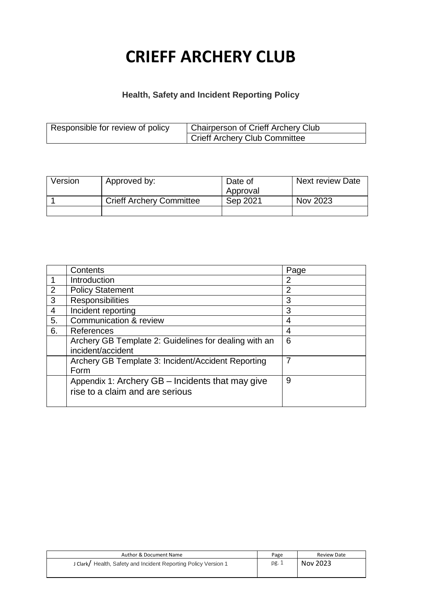# **CRIEFF ARCHERY CLUB**

# **Health, Safety and Incident Reporting Policy**

| Responsible for review of policy | Chairperson of Crieff Archery Club         |
|----------------------------------|--------------------------------------------|
|                                  | <sup>1</sup> Crieff Archery Club Committee |

| Version | Approved by:                    | Date of  | <b>Next review Date</b> |
|---------|---------------------------------|----------|-------------------------|
|         |                                 | Approval |                         |
|         | <b>Crieff Archery Committee</b> | Sep 2021 | Nov 2023                |
|         |                                 |          |                         |

|                | Contents                                              | Page           |
|----------------|-------------------------------------------------------|----------------|
|                | Introduction                                          | $\overline{2}$ |
| $\overline{2}$ | <b>Policy Statement</b>                               | $\overline{2}$ |
| 3              | <b>Responsibilities</b>                               | 3              |
| $\overline{4}$ | Incident reporting                                    | 3              |
| 5.             | Communication & review                                | 4              |
| 6.             | References                                            | 4              |
|                | Archery GB Template 2: Guidelines for dealing with an | 6              |
|                | incident/accident                                     |                |
|                | Archery GB Template 3: Incident/Accident Reporting    | 7              |
|                | Form                                                  |                |
|                | Appendix 1: Archery GB - Incidents that may give      | 9              |
|                | rise to a claim and are serious                       |                |
|                |                                                       |                |

| Author & Document Name                                          | Page  | <b>Review Date</b> |
|-----------------------------------------------------------------|-------|--------------------|
| J Clark/ Health, Safety and Incident Reporting Policy Version 1 | pg. 1 | Nov 2023           |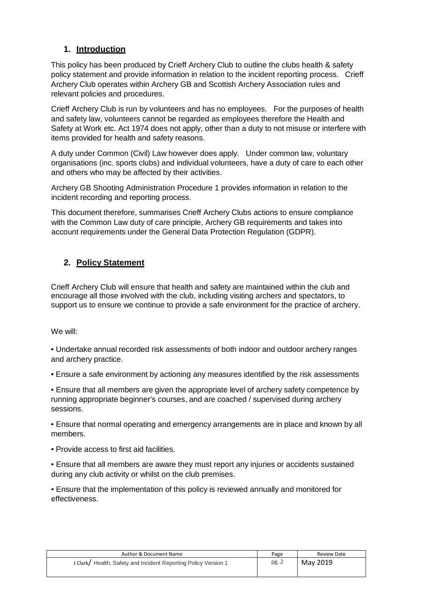# **1. Introduction**

This policy has been produced by Crieff Archery Club to outline the clubs health & safety policy statement and provide information in relation to the incident reporting process. Crieff Archery Club operates within Archery GB and Scottish Archery Association rules and relevant policies and procedures.

Crieff Archery Club is run by volunteers and has no employees. For the purposes of health and safety law, volunteers cannot be regarded as employees therefore the Health and Safety at Work etc. Act 1974 does not apply, other than a duty to not misuse or interfere with items provided for health and safety reasons.

A duty under Common (Civil) Law however does apply. Under common law, voluntary organisations (inc. sports clubs) and individual volunteers, have a duty of care to each other and others who may be affected by their activities.

Archery GB Shooting Administration Procedure 1 provides information in relation to the incident recording and reporting process.

This document therefore, summarises Crieff Archery Clubs actions to ensure compliance with the Common Law duty of care principle, Archery GB requirements and takes into account requirements under the General Data Protection Regulation (GDPR).

# **2. Policy Statement**

Crieff Archery Club will ensure that health and safety are maintained within the club and encourage all those involved with the club, including visiting archers and spectators, to support us to ensure we continue to provide a safe environment for the practice of archery.

We will:

• Undertake annual recorded risk assessments of both indoor and outdoor archery ranges and archery practice.

• Ensure a safe environment by actioning any measures identified by the risk assessments

• Ensure that all members are given the appropriate level of archery safety competence by running appropriate beginner's courses, and are coached / supervised during archery sessions.

• Ensure that normal operating and emergency arrangements are in place and known by all members.

• Provide access to first aid facilities.

• Ensure that all members are aware they must report any injuries or accidents sustained during any club activity or whilst on the club premises.

• Ensure that the implementation of this policy is reviewed annually and monitored for effectiveness.

| Author & Document Name                                          | Page  | <b>Review Date</b> |
|-----------------------------------------------------------------|-------|--------------------|
| J Clark/ Health, Safety and Incident Reporting Policy Version 1 | pg. 2 | May 2019           |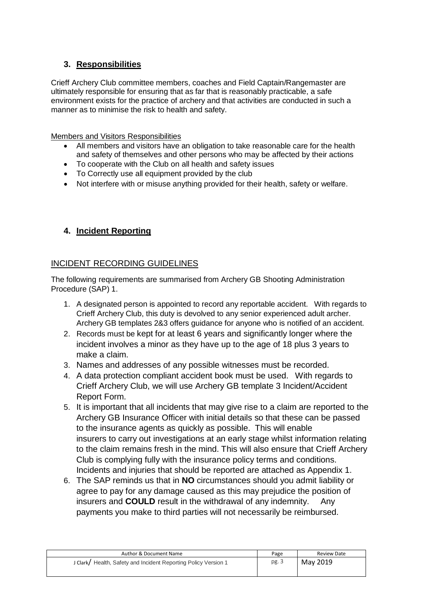# **3. Responsibilities**

Crieff Archery Club committee members, coaches and Field Captain/Rangemaster are ultimately responsible for ensuring that as far that is reasonably practicable, a safe environment exists for the practice of archery and that activities are conducted in such a manner as to minimise the risk to health and safety.

Members and Visitors Responsibilities

- All members and visitors have an obligation to take reasonable care for the health and safety of themselves and other persons who may be affected by their actions
- To cooperate with the Club on all health and safety issues
- To Correctly use all equipment provided by the club
- Not interfere with or misuse anything provided for their health, safety or welfare.

## **4. Incident Reporting**

## INCIDENT RECORDING GUIDELINES

The following requirements are summarised from Archery GB Shooting Administration Procedure (SAP) 1.

- 1. A designated person is appointed to record any reportable accident. With regards to Crieff Archery Club, this duty is devolved to any senior experienced adult archer. Archery GB templates 2&3 offers guidance for anyone who is notified of an accident.
- 2. Records must be kept for at least 6 years and significantly longer where the incident involves a minor as they have up to the age of 18 plus 3 years to make a claim.
- 3. Names and addresses of any possible witnesses must be recorded.
- 4. A data protection compliant accident book must be used. With regards to Crieff Archery Club, we will use Archery GB template 3 Incident/Accident Report Form.
- 5. It is important that all incidents that may give rise to a claim are reported to the Archery GB Insurance Officer with initial details so that these can be passed to the insurance agents as quickly as possible. This will enable insurers to carry out investigations at an early stage whilst information relating to the claim remains fresh in the mind. This will also ensure that Crieff Archery Club is complying fully with the insurance policy terms and conditions. Incidents and injuries that should be reported are attached as Appendix 1.
- 6. The SAP reminds us that in **NO** circumstances should you admit liability or agree to pay for any damage caused as this may prejudice the position of insurers and **COULD** result in the withdrawal of any indemnity. Any payments you make to third parties will not necessarily be reimbursed.

| Author & Document Name                                          | Page  | Review Date |
|-----------------------------------------------------------------|-------|-------------|
| J Clark/ Health, Safety and Incident Reporting Policy Version 1 | pg. 3 | May 2019    |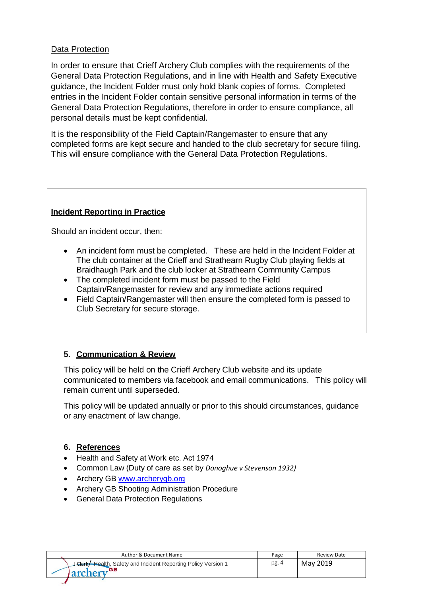#### Data Protection

In order to ensure that Crieff Archery Club complies with the requirements of the General Data Protection Regulations, and in line with Health and Safety Executive guidance, the Incident Folder must only hold blank copies of forms. Completed entries in the Incident Folder contain sensitive personal information in terms of the General Data Protection Regulations, therefore in order to ensure compliance, all personal details must be kept confidential.

It is the responsibility of the Field Captain/Rangemaster to ensure that any completed forms are kept secure and handed to the club secretary for secure filing. This will ensure compliance with the General Data Protection Regulations.

## **Incident Reporting in Practice**

Should an incident occur, then:

- An incident form must be completed. These are held in the Incident Folder at The club container at the Crieff and Strathearn Rugby Club playing fields at Braidhaugh Park and the club locker at Strathearn Community Campus
- The completed incident form must be passed to the Field Captain/Rangemaster for review and any immediate actions required
- Field Captain/Rangemaster will then ensure the completed form is passed to Club Secretary for secure storage.

#### **5. Communication & Review**

This policy will be held on the Crieff Archery Club website and its update communicated to members via facebook and email communications. This policy will remain current until superseded.

This policy will be updated annually or prior to this should circumstances, guidance or any enactment of law change.

#### **6. References**

- Health and Safety at Work etc. Act 1974
- Common Law (Duty of care as set by *Donoghue v Stevenson 1932)*
- Archery GB [www.archerygb.org](http://www.archerygb.org/)
- Archery GB Shooting Administration Procedure
- General Data Protection Regulations

| Author & Document Name                                                                   | Page  | <b>Review Date</b> |
|------------------------------------------------------------------------------------------|-------|--------------------|
| J-Clark/ Health, Safety and Incident Reporting Policy Version 1<br>archery <sup>GB</sup> | pg. 4 | May 2019           |
|                                                                                          |       |                    |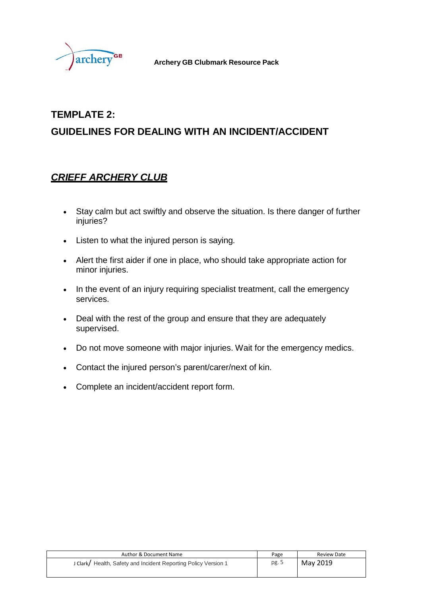archery<sup>GB</sup>

# **TEMPLATE 2: GUIDELINES FOR DEALING WITH AN INCIDENT/ACCIDENT**

# *CRIEFF ARCHERY CLUB*

- Stay calm but act swiftly and observe the situation. Is there danger of further injuries?
- Listen to what the injured person is saying.
- Alert the first aider if one in place, who should take appropriate action for minor injuries.
- In the event of an injury requiring specialist treatment, call the emergency services.
- Deal with the rest of the group and ensure that they are adequately supervised.
- Do not move someone with major injuries. Wait for the emergency medics.
- Contact the injured person's parent/carer/next of kin.
- Complete an incident/accident report form.

| Author & Document Name                                          | Page  | Review Date |
|-----------------------------------------------------------------|-------|-------------|
| J Clark/ Health, Safety and Incident Reporting Policy Version 1 | pg. 5 | May 2019    |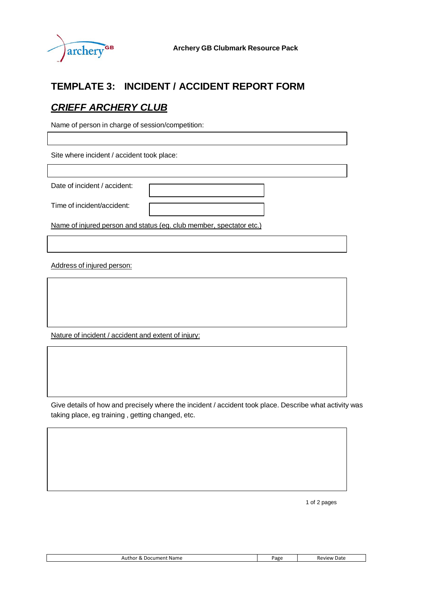

# **TEMPLATE 3: INCIDENT / ACCIDENT REPORT FORM**

# *CRIEFF ARCHERY CLUB*

Name of person in charge of session/competition:

Site where incident / accident took place:

Date of incident / accident:

Time of incident/accident:

Name of injured person and status (eg. club member, spectator etc.)

Address of injured person:

Nature of incident / accident and extent of injury:

Give details of how and precisely where the incident / accident took place. Describe what activity was taking place, eg training , getting changed, etc.

1 of 2 pages

| $\mathbf{A} \mathbf{H}$<br>Name<br>. umer<br>ו מנ<br>ıor<br>$\sim$<br>Ju.<br>____ | age <sup>,</sup> | Date<br>Review |
|-----------------------------------------------------------------------------------|------------------|----------------|
|                                                                                   |                  |                |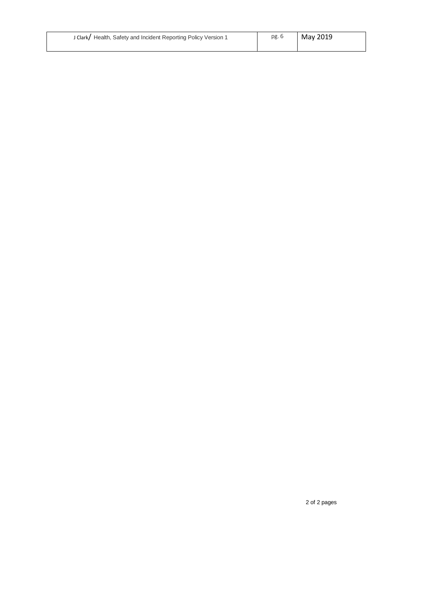| J Clark/ Health, Safety and Incident Reporting Policy Version 1 | pg. 6 | May 2019 |  |
|-----------------------------------------------------------------|-------|----------|--|
|                                                                 |       |          |  |

2 of 2 pages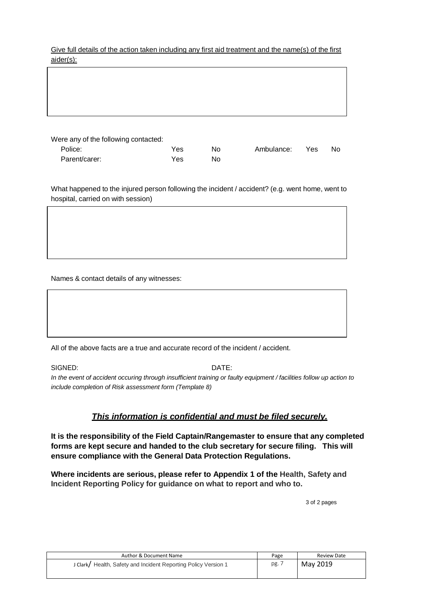Give full details of the action taken including any first aid treatment and the name(s) of the first aider(s):

Were any of the following contacted: Police: Yes No Ambulance: Yes No Parent/carer: Yes No

What happened to the injured person following the incident / accident? (e.g. went home, went to hospital, carried on with session)

Names & contact details of any witnesses:

All of the above facts are a true and accurate record of the incident / accident.

SIGNED: DATE:

In the event of accident occuring through insufficient training or faulty equipment / facilities follow up action to *include completion of Risk assessment form (Template 8)*

#### *This information is confidential and must be filed securely.*

**It is the responsibility of the Field Captain/Rangemaster to ensure that any completed forms are kept secure and handed to the club secretary for secure filing. This will ensure compliance with the General Data Protection Regulations.**

**Where incidents are serious, please refer to Appendix 1 of the Health, Safety and Incident Reporting Policy for guidance on what to report and who to.**

3 of 2 pages

| Author & Document Name                                          | Page | <b>Review Date</b> |
|-----------------------------------------------------------------|------|--------------------|
| J Clark/ Health, Safety and Incident Reporting Policy Version 1 | pg.  | May 2019           |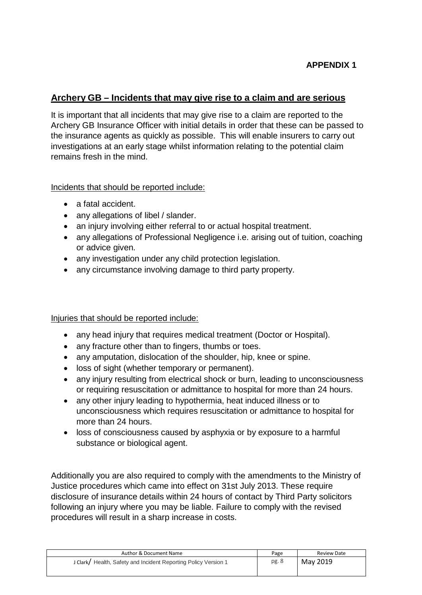## **APPENDIX 1**

# **Archery GB – Incidents that may give rise to a claim and are serious**

It is important that all incidents that may give rise to a claim are reported to the Archery GB Insurance Officer with initial details in order that these can be passed to the insurance agents as quickly as possible. This will enable insurers to carry out investigations at an early stage whilst information relating to the potential claim remains fresh in the mind.

Incidents that should be reported include:

- a fatal accident.
- any allegations of libel / slander.
- an injury involving either referral to or actual hospital treatment.
- any allegations of Professional Negligence i.e. arising out of tuition, coaching or advice given.
- any investigation under any child protection legislation.
- any circumstance involving damage to third party property.

#### Injuries that should be reported include:

- any head injury that requires medical treatment (Doctor or Hospital).
- any fracture other than to fingers, thumbs or toes.
- any amputation, dislocation of the shoulder, hip, knee or spine.
- loss of sight (whether temporary or permanent).
- any injury resulting from electrical shock or burn, leading to unconsciousness or requiring resuscitation or admittance to hospital for more than 24 hours.
- any other injury leading to hypothermia, heat induced illness or to unconsciousness which requires resuscitation or admittance to hospital for more than 24 hours.
- loss of consciousness caused by asphyxia or by exposure to a harmful substance or biological agent.

Additionally you are also required to comply with the amendments to the Ministry of Justice procedures which came into effect on 31st July 2013. These require disclosure of insurance details within 24 hours of contact by Third Party solicitors following an injury where you may be liable. Failure to comply with the revised procedures will result in a sharp increase in costs.

| Author & Document Name                                          | Page  | <b>Review Date</b> |
|-----------------------------------------------------------------|-------|--------------------|
| J Clark/ Health, Safety and Incident Reporting Policy Version 1 | pg. 8 | May 2019           |